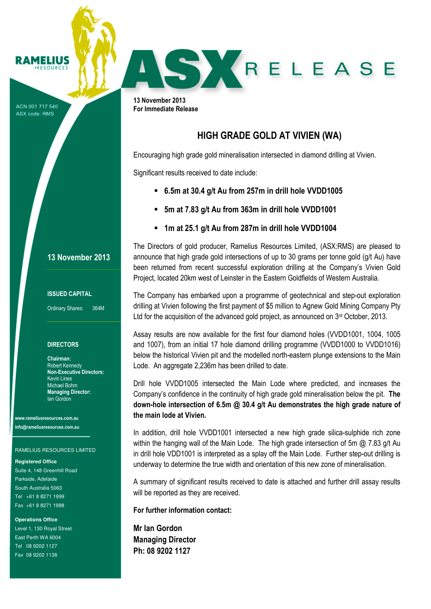ACN 001 717 540 ASX code: RMS

**RAMELIUS RESOURCES** 

## 13 November 2013

## ISSUED CAPITAL

Ordinary Shares: 364M

### **DIRECTORS**

Chairman: Robert Kennedy Non-Executive Directors: Kevin Lines Michael Bohm Managing Director: Ian Gordon

www.rameliusresources.com.au info@rameliusresources.com.au

### RAMELIUS RESOURCES LIMITED

#### **Registered Office**

Suite 4, 148 Greenhill Road Parkside, Adelaide South Australia 5063 Tel +61 8 8271 1999 Fax +61 8 8271 1988

#### **Operations Office**

Level 1, 130 Royal Street East Perth WA 6004 Tel 08 9202 1127 Fax 08 9202 1138

SKRELEASE

13 November 2013 For Immediate Release

## HIGH GRADE GOLD AT VIVIEN (WA)

Encouraging high grade gold mineralisation intersected in diamond drilling at Vivien.

Significant results received to date include:

- 6.5m at 30.4 g/t Au from 257m in drill hole VVDD1005
- 5m at 7.83 g/t Au from 363m in drill hole VVDD1001
- 1m at 25.1 g/t Au from 287m in drill hole VVDD1004

The Directors of gold producer, Ramelius Resources Limited, (ASX:RMS) are pleased to announce that high grade gold intersections of up to 30 grams per tonne gold (g/t Au) have been returned from recent successful exploration drilling at the Company's Vivien Gold Project, located 20km west of Leinster in the Eastern Goldfields of Western Australia.

The Company has embarked upon a programme of geotechnical and step-out exploration drilling at Vivien following the first payment of \$5 million to Agnew Gold Mining Company Pty Ltd for the acquisition of the advanced gold project, as announced on 3<sup>rd</sup> October, 2013.

Assay results are now available for the first four diamond holes (VVDD1001, 1004, 1005 and 1007), from an initial 17 hole diamond drilling programme (VVDD1000 to VVDD1016) below the historical Vivien pit and the modelled north-eastern plunge extensions to the Main Lode. An aggregate 2,236m has been drilled to date.

Drill hole VVDD1005 intersected the Main Lode where predicted, and increases the Company's confidence in the continuity of high grade gold mineralisation below the pit. The down-hole intersection of 6.5m @ 30.4 g/t Au demonstrates the high grade nature of the main lode at Vivien.

In addition, drill hole VVDD1001 intersected a new high grade silica-sulphide rich zone within the hanging wall of the Main Lode. The high grade intersection of 5m  $\omega$  7.83 g/t Au in drill hole VDD1001 is interpreted as a splay off the Main Lode. Further step-out drilling is underway to determine the true width and orientation of this new zone of mineralisation.

A summary of significant results received to date is attached and further drill assay results will be reported as they are received.

For further information contact:

Mr Ian Gordon Managing Director Ph: 08 9202 1127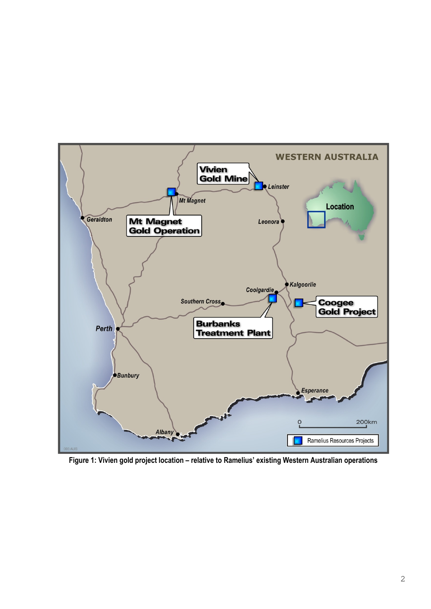

Figure 1: Vivien gold project location – relative to Ramelius' existing Western Australian operations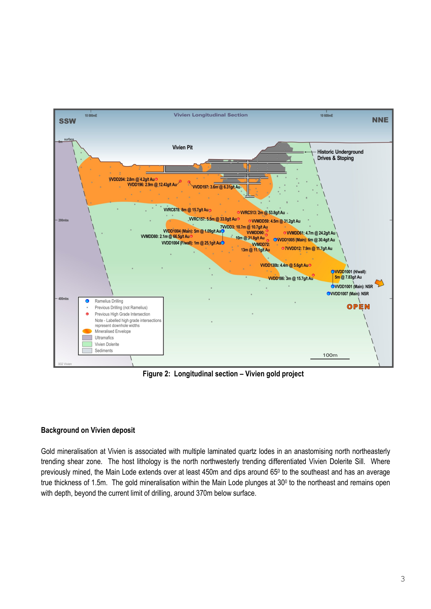

Figure 2: Longitudinal section – Vivien gold project

## Background on Vivien deposit

Gold mineralisation at Vivien is associated with multiple laminated quartz lodes in an anastomising north northeasterly trending shear zone. The host lithology is the north northwesterly trending differentiated Vivien Dolerite Sill. Where previously mined, the Main Lode extends over at least 450m and dips around 65<sup>0</sup> to the southeast and has an average true thickness of 1.5m. The gold mineralisation within the Main Lode plunges at 30<sup>0</sup> to the northeast and remains open with depth, beyond the current limit of drilling, around 370m below surface.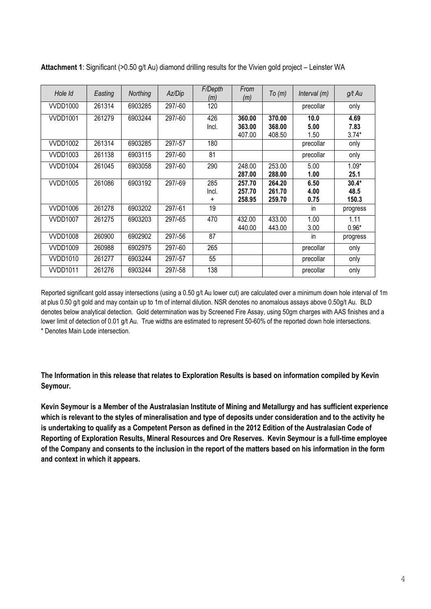| Hole Id         | Easting | Northing | Az/Dip  | F/Depth<br>(m) | From<br>(m) | To(m)  | Interval (m) | g/t Au   |
|-----------------|---------|----------|---------|----------------|-------------|--------|--------------|----------|
| <b>VVDD1000</b> | 261314  | 6903285  | 297/-60 | 120            |             |        | precollar    | only     |
| <b>VVDD1001</b> | 261279  | 6903244  | 297/-60 | 426            | 360.00      | 370.00 | 10.0         | 4.69     |
|                 |         |          |         | Incl.          | 363.00      | 368.00 | 5.00         | 7.83     |
|                 |         |          |         |                | 407.00      | 408.50 | 1.50         | $3.74*$  |
| <b>VVDD1002</b> | 261314  | 6903285  | 297/-57 | 180            |             |        | precollar    | only     |
| <b>VVDD1003</b> | 261138  | 6903115  | 297/-60 | 81             |             |        | precollar    | only     |
| <b>VVDD1004</b> | 261045  | 6903058  | 297/-60 | 290            | 248.00      | 253.00 | 5.00         | $1.09*$  |
|                 |         |          |         |                | 287.00      | 288.00 | 1.00         | 25.1     |
| <b>VVDD1005</b> | 261086  | 6903192  | 297/-69 | 285            | 257.70      | 264.20 | 6.50         | $30.4*$  |
|                 |         |          |         | Incl.          | 257.70      | 261.70 | 4.00         | 48.5     |
|                 |         |          |         | $\ddot{}$      | 258.95      | 259.70 | 0.75         | 150.3    |
| <b>VVDD1006</b> | 261278  | 6903202  | 297/-61 | 19             |             |        | in           | progress |
| <b>VVDD1007</b> | 261275  | 6903203  | 297/-65 | 470            | 432.00      | 433.00 | 1.00         | 1.11     |
|                 |         |          |         |                | 440.00      | 443.00 | 3.00         | $0.96*$  |
| <b>VVDD1008</b> | 260900  | 6902902  | 297/-56 | 87             |             |        | in           | progress |
| VVDD1009        | 260988  | 6902975  | 297/-60 | 265            |             |        | precollar    | only     |
| <b>VVDD1010</b> | 261277  | 6903244  | 297/-57 | 55             |             |        | precollar    | only     |
| <b>VVDD1011</b> | 261276  | 6903244  | 297/-58 | 138            |             |        | precollar    | only     |

Attachment 1: Significant (>0.50 g/t Au) diamond drilling results for the Vivien gold project – Leinster WA

Reported significant gold assay intersections (using a 0.50 g/t Au lower cut) are calculated over a minimum down hole interval of 1m at plus 0.50 g/t gold and may contain up to 1m of internal dilution. NSR denotes no anomalous assays above 0.50g/t Au. BLD denotes below analytical detection. Gold determination was by Screened Fire Assay, using 50gm charges with AAS finishes and a lower limit of detection of 0.01 g/t Au. True widths are estimated to represent 50-60% of the reported down hole intersections. \* Denotes Main Lode intersection.

The Information in this release that relates to Exploration Results is based on information compiled by Kevin Seymour.

Kevin Seymour is a Member of the Australasian Institute of Mining and Metallurgy and has sufficient experience which is relevant to the styles of mineralisation and type of deposits under consideration and to the activity he is undertaking to qualify as a Competent Person as defined in the 2012 Edition of the Australasian Code of Reporting of Exploration Results, Mineral Resources and Ore Reserves. Kevin Seymour is a full-time employee of the Company and consents to the inclusion in the report of the matters based on his information in the form and context in which it appears.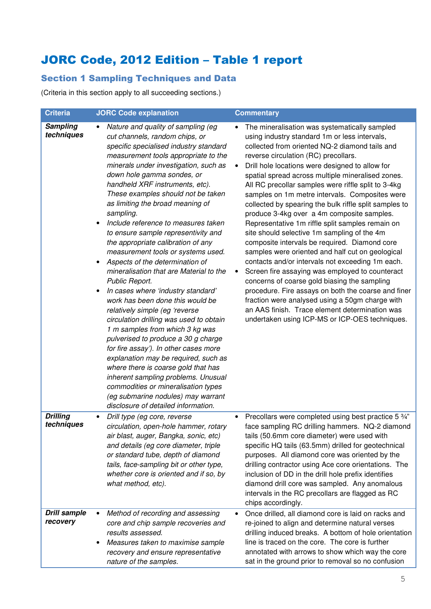# JORC Code, 2012 Edition – Table 1 report

## Section 1 Sampling Techniques and Data

(Criteria in this section apply to all succeeding sections.)

| <b>Criteria</b>                 | <b>JORC Code explanation</b>                                                                                                                                                                                                                                                                                                                                                                                                                                                                                                                                                                                                                                                                                                                                                                                                                                                                                                                                                                                                                                                                                                                       | <b>Commentary</b>                                                                                                                                                                                                                                                                                                                                                                                                                                                                                                                                                                                                                                                                                                                                                                                                                                                                                                                                                                                                                                                                                           |
|---------------------------------|----------------------------------------------------------------------------------------------------------------------------------------------------------------------------------------------------------------------------------------------------------------------------------------------------------------------------------------------------------------------------------------------------------------------------------------------------------------------------------------------------------------------------------------------------------------------------------------------------------------------------------------------------------------------------------------------------------------------------------------------------------------------------------------------------------------------------------------------------------------------------------------------------------------------------------------------------------------------------------------------------------------------------------------------------------------------------------------------------------------------------------------------------|-------------------------------------------------------------------------------------------------------------------------------------------------------------------------------------------------------------------------------------------------------------------------------------------------------------------------------------------------------------------------------------------------------------------------------------------------------------------------------------------------------------------------------------------------------------------------------------------------------------------------------------------------------------------------------------------------------------------------------------------------------------------------------------------------------------------------------------------------------------------------------------------------------------------------------------------------------------------------------------------------------------------------------------------------------------------------------------------------------------|
| <b>Sampling</b><br>techniques   | Nature and quality of sampling (eg<br>cut channels, random chips, or<br>specific specialised industry standard<br>measurement tools appropriate to the<br>minerals under investigation, such as<br>down hole gamma sondes, or<br>handheld XRF instruments, etc).<br>These examples should not be taken<br>as limiting the broad meaning of<br>sampling.<br>Include reference to measures taken<br>to ensure sample representivity and<br>the appropriate calibration of any<br>measurement tools or systems used.<br>Aspects of the determination of<br>$\bullet$<br>mineralisation that are Material to the<br>Public Report.<br>In cases where 'industry standard'<br>work has been done this would be<br>relatively simple (eg 'reverse<br>circulation drilling was used to obtain<br>1 m samples from which 3 kg was<br>pulverised to produce a 30 g charge<br>for fire assay'). In other cases more<br>explanation may be required, such as<br>where there is coarse gold that has<br>inherent sampling problems. Unusual<br>commodities or mineralisation types<br>(eg submarine nodules) may warrant<br>disclosure of detailed information. | The mineralisation was systematically sampled<br>using industry standard 1m or less intervals,<br>collected from oriented NQ-2 diamond tails and<br>reverse circulation (RC) precollars.<br>Drill hole locations were designed to allow for<br>spatial spread across multiple mineralised zones.<br>All RC precollar samples were riffle split to 3-4kg<br>samples on 1m metre intervals. Composites were<br>collected by spearing the bulk riffle split samples to<br>produce 3-4kg over a 4m composite samples.<br>Representative 1m riffle split samples remain on<br>site should selective 1m sampling of the 4m<br>composite intervals be required. Diamond core<br>samples were oriented and half cut on geological<br>contacts and/or intervals not exceeding 1m each.<br>Screen fire assaying was employed to counteract<br>$\bullet$<br>concerns of coarse gold biasing the sampling<br>procedure. Fire assays on both the coarse and finer<br>fraction were analysed using a 50gm charge with<br>an AAS finish. Trace element determination was<br>undertaken using ICP-MS or ICP-OES techniques. |
| <b>Drilling</b><br>techniques   | Drill type (eg core, reverse<br>circulation, open-hole hammer, rotary<br>air blast, auger, Bangka, sonic, etc)<br>and details (eg core diameter, triple<br>or standard tube, depth of diamond<br>tails, face-sampling bit or other type,<br>whether core is oriented and if so, by<br>what method, etc).                                                                                                                                                                                                                                                                                                                                                                                                                                                                                                                                                                                                                                                                                                                                                                                                                                           | Precollars were completed using best practice 5 3/4"<br>face sampling RC drilling hammers. NQ-2 diamond<br>tails (50.6mm core diameter) were used with<br>specific HQ tails (63.5mm) drilled for geotechnical<br>purposes. All diamond core was oriented by the<br>drilling contractor using Ace core orientations. The<br>inclusion of DD in the drill hole prefix identifies<br>diamond drill core was sampled. Any anomalous<br>intervals in the RC precollars are flagged as RC<br>chips accordingly.                                                                                                                                                                                                                                                                                                                                                                                                                                                                                                                                                                                                   |
| <b>Drill sample</b><br>recovery | Method of recording and assessing<br>$\bullet$<br>core and chip sample recoveries and<br>results assessed.<br>Measures taken to maximise sample<br>recovery and ensure representative<br>nature of the samples.                                                                                                                                                                                                                                                                                                                                                                                                                                                                                                                                                                                                                                                                                                                                                                                                                                                                                                                                    | Once drilled, all diamond core is laid on racks and<br>$\bullet$<br>re-joined to align and determine natural verses<br>drilling induced breaks. A bottom of hole orientation<br>line is traced on the core. The core is further<br>annotated with arrows to show which way the core<br>sat in the ground prior to removal so no confusion                                                                                                                                                                                                                                                                                                                                                                                                                                                                                                                                                                                                                                                                                                                                                                   |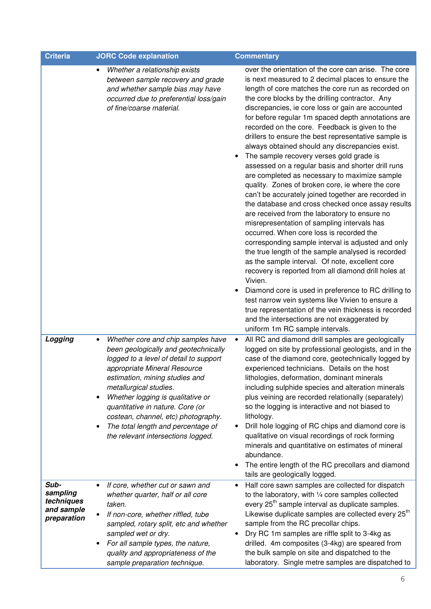| <b>Criteria</b>                                             | <b>JORC Code explanation</b>                                                                                                                                                                                                                                                                                                                                                                                                                        | <b>Commentary</b>                                                                                                                                                                                                                                                                                                                                                                                                                                                                                                                                                                                                                                                                                                                                                                                                                                                                                                                                                                                                                                                                                                                                                                                                                                                                                                                                                                                                                                    |  |
|-------------------------------------------------------------|-----------------------------------------------------------------------------------------------------------------------------------------------------------------------------------------------------------------------------------------------------------------------------------------------------------------------------------------------------------------------------------------------------------------------------------------------------|------------------------------------------------------------------------------------------------------------------------------------------------------------------------------------------------------------------------------------------------------------------------------------------------------------------------------------------------------------------------------------------------------------------------------------------------------------------------------------------------------------------------------------------------------------------------------------------------------------------------------------------------------------------------------------------------------------------------------------------------------------------------------------------------------------------------------------------------------------------------------------------------------------------------------------------------------------------------------------------------------------------------------------------------------------------------------------------------------------------------------------------------------------------------------------------------------------------------------------------------------------------------------------------------------------------------------------------------------------------------------------------------------------------------------------------------------|--|
|                                                             | Whether a relationship exists<br>٠<br>between sample recovery and grade<br>and whether sample bias may have<br>occurred due to preferential loss/gain<br>of fine/coarse material.                                                                                                                                                                                                                                                                   | over the orientation of the core can arise. The core<br>is next measured to 2 decimal places to ensure the<br>length of core matches the core run as recorded on<br>the core blocks by the drilling contractor. Any<br>discrepancies, ie core loss or gain are accounted<br>for before regular 1m spaced depth annotations are<br>recorded on the core. Feedback is given to the<br>drillers to ensure the best representative sample is<br>always obtained should any discrepancies exist.<br>The sample recovery verses gold grade is<br>assessed on a regular basis and shorter drill runs<br>are completed as necessary to maximize sample<br>quality. Zones of broken core, ie where the core<br>can't be accurately joined together are recorded in<br>the database and cross checked once assay results<br>are received from the laboratory to ensure no<br>misrepresentation of sampling intervals has<br>occurred. When core loss is recorded the<br>corresponding sample interval is adjusted and only<br>the true length of the sample analysed is recorded<br>as the sample interval. Of note, excellent core<br>recovery is reported from all diamond drill holes at<br>Vivien.<br>Diamond core is used in preference to RC drilling to<br>test narrow vein systems like Vivien to ensure a<br>true representation of the vein thickness is recorded<br>and the intersections are not exaggerated by<br>uniform 1m RC sample intervals. |  |
| Logging                                                     | Whether core and chip samples have<br>$\bullet$<br>been geologically and geotechnically<br>logged to a level of detail to support<br>appropriate Mineral Resource<br>estimation, mining studies and<br>metallurgical studies.<br>Whether logging is qualitative or<br>$\bullet$<br>quantitative in nature. Core (or<br>costean, channel, etc) photography.<br>The total length and percentage of<br>$\bullet$<br>the relevant intersections logged. | All RC and diamond drill samples are geologically<br>$\bullet$<br>logged on site by professional geologists, and in the<br>case of the diamond core, geotechnically logged by<br>experienced technicians. Details on the host<br>lithologies, deformation, dominant minerals<br>including sulphide species and alteration minerals<br>plus veining are recorded relationally (separately)<br>so the logging is interactive and not biased to<br>lithology.<br>Drill hole logging of RC chips and diamond core is<br>qualitative on visual recordings of rock forming<br>minerals and quantitative on estimates of mineral<br>abundance.<br>The entire length of the RC precollars and diamond<br>tails are geologically logged.                                                                                                                                                                                                                                                                                                                                                                                                                                                                                                                                                                                                                                                                                                                      |  |
| Sub-<br>sampling<br>techniques<br>and sample<br>preparation | If core, whether cut or sawn and<br>$\bullet$<br>whether quarter, half or all core<br>taken.<br>If non-core, whether riffled, tube<br>sampled, rotary split, etc and whether<br>sampled wet or dry.<br>For all sample types, the nature,<br>٠<br>quality and appropriateness of the<br>sample preparation technique.                                                                                                                                | Half core sawn samples are collected for dispatch<br>$\bullet$<br>to the laboratory, with 1/4 core samples collected<br>every 25 <sup>th</sup> sample interval as duplicate samples.<br>Likewise duplicate samples are collected every 25 <sup>th</sup><br>sample from the RC precollar chips.<br>Dry RC 1m samples are riffle split to 3-4kg as<br>drilled. 4m composites (3-4kg) are speared from<br>the bulk sample on site and dispatched to the<br>laboratory. Single metre samples are dispatched to                                                                                                                                                                                                                                                                                                                                                                                                                                                                                                                                                                                                                                                                                                                                                                                                                                                                                                                                           |  |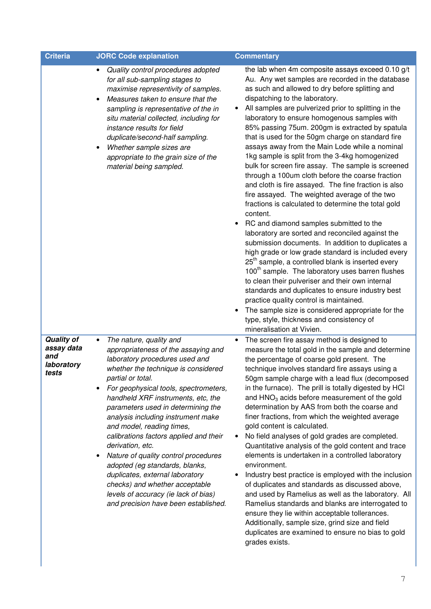| Criteria                                                      | <b>JORC Code explanation</b>                                                                                                                                                                                                                                                                                                                                                                                                                                                                                                                                                                                                                                                | <b>Commentary</b>                                                                                                                                                                                                                                                                                                                                                                                                                                                                                                                                                                                                                                                                                                                                                                                                                                                                                                                                                                                                                                                                                                                                                                                                                                                                                                                                                                                                                |
|---------------------------------------------------------------|-----------------------------------------------------------------------------------------------------------------------------------------------------------------------------------------------------------------------------------------------------------------------------------------------------------------------------------------------------------------------------------------------------------------------------------------------------------------------------------------------------------------------------------------------------------------------------------------------------------------------------------------------------------------------------|----------------------------------------------------------------------------------------------------------------------------------------------------------------------------------------------------------------------------------------------------------------------------------------------------------------------------------------------------------------------------------------------------------------------------------------------------------------------------------------------------------------------------------------------------------------------------------------------------------------------------------------------------------------------------------------------------------------------------------------------------------------------------------------------------------------------------------------------------------------------------------------------------------------------------------------------------------------------------------------------------------------------------------------------------------------------------------------------------------------------------------------------------------------------------------------------------------------------------------------------------------------------------------------------------------------------------------------------------------------------------------------------------------------------------------|
|                                                               | Quality control procedures adopted<br>$\bullet$<br>for all sub-sampling stages to<br>maximise representivity of samples.<br>Measures taken to ensure that the<br>$\bullet$<br>sampling is representative of the in<br>situ material collected, including for<br>instance results for field<br>duplicate/second-half sampling.<br>Whether sample sizes are<br>appropriate to the grain size of the<br>material being sampled.                                                                                                                                                                                                                                                | the lab when 4m composite assays exceed 0.10 g/t<br>Au. Any wet samples are recorded in the database<br>as such and allowed to dry before splitting and<br>dispatching to the laboratory.<br>All samples are pulverized prior to splitting in the<br>laboratory to ensure homogenous samples with<br>85% passing 75um. 200gm is extracted by spatula<br>that is used for the 50gm charge on standard fire<br>assays away from the Main Lode while a nominal<br>1kg sample is split from the 3-4kg homogenized<br>bulk for screen fire assay. The sample is screened<br>through a 100um cloth before the coarse fraction<br>and cloth is fire assayed. The fine fraction is also<br>fire assayed. The weighted average of the two<br>fractions is calculated to determine the total gold<br>content.<br>RC and diamond samples submitted to the<br>laboratory are sorted and reconciled against the<br>submission documents. In addition to duplicates a<br>high grade or low grade standard is included every<br>25 <sup>th</sup> sample, a controlled blank is inserted every<br>100 <sup>th</sup> sample. The laboratory uses barren flushes<br>to clean their pulveriser and their own internal<br>standards and duplicates to ensure industry best<br>practice quality control is maintained.<br>The sample size is considered appropriate for the<br>type, style, thickness and consistency of<br>mineralisation at Vivien. |
| <b>Quality of</b><br>assay data<br>and<br>laboratory<br>tests | The nature, quality and<br>$\bullet$<br>appropriateness of the assaying and<br>laboratory procedures used and<br>whether the technique is considered<br>partial or total.<br>For geophysical tools, spectrometers,<br>handheld XRF instruments, etc, the<br>parameters used in determining the<br>analysis including instrument make<br>and model, reading times,<br>calibrations factors applied and their<br>derivation, etc.<br>Nature of quality control procedures<br>$\bullet$<br>adopted (eg standards, blanks,<br>duplicates, external laboratory<br>checks) and whether acceptable<br>levels of accuracy (ie lack of bias)<br>and precision have been established. | The screen fire assay method is designed to<br>$\bullet$<br>measure the total gold in the sample and determine<br>the percentage of coarse gold present. The<br>technique involves standard fire assays using a<br>50gm sample charge with a lead flux (decomposed<br>in the furnace). The prill is totally digested by HCI<br>and HNO <sub>3</sub> acids before measurement of the gold<br>determination by AAS from both the coarse and<br>finer fractions, from which the weighted average<br>gold content is calculated.<br>No field analyses of gold grades are completed.<br>Quantitative analysis of the gold content and trace<br>elements is undertaken in a controlled laboratory<br>environment.<br>Industry best practice is employed with the inclusion<br>of duplicates and standards as discussed above,<br>and used by Ramelius as well as the laboratory. All<br>Ramelius standards and blanks are interrogated to<br>ensure they lie within acceptable tollerances.<br>Additionally, sample size, grind size and field<br>duplicates are examined to ensure no bias to gold<br>grades exists.                                                                                                                                                                                                                                                                                                                  |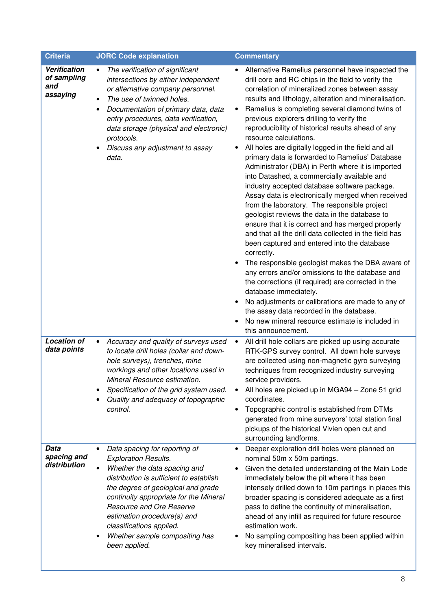| <b>Criteria</b>                                | <b>JORC Code explanation</b>                                                                                                                                                                                                                                                                                                                                                                     | <b>Commentary</b>                                                                                                                                                                                                                                                                                                                                                                                                                                                                                                                                                                                                                                                                                                                                                                                                                                                                                                                                                                                                                                                                                                                                                                                                                                                                                                                                                            |
|------------------------------------------------|--------------------------------------------------------------------------------------------------------------------------------------------------------------------------------------------------------------------------------------------------------------------------------------------------------------------------------------------------------------------------------------------------|------------------------------------------------------------------------------------------------------------------------------------------------------------------------------------------------------------------------------------------------------------------------------------------------------------------------------------------------------------------------------------------------------------------------------------------------------------------------------------------------------------------------------------------------------------------------------------------------------------------------------------------------------------------------------------------------------------------------------------------------------------------------------------------------------------------------------------------------------------------------------------------------------------------------------------------------------------------------------------------------------------------------------------------------------------------------------------------------------------------------------------------------------------------------------------------------------------------------------------------------------------------------------------------------------------------------------------------------------------------------------|
| Verification<br>of sampling<br>and<br>assaying | The verification of significant<br>$\bullet$<br>intersections by either independent<br>or alternative company personnel.<br>The use of twinned holes.<br>Documentation of primary data, data<br>٠<br>entry procedures, data verification,<br>data storage (physical and electronic)<br>protocols.<br>Discuss any adjustment to assay<br>data.                                                    | Alternative Ramelius personnel have inspected the<br>٠<br>drill core and RC chips in the field to verify the<br>correlation of mineralized zones between assay<br>results and lithology, alteration and mineralisation.<br>Ramelius is completing several diamond twins of<br>previous explorers drilling to verify the<br>reproducibility of historical results ahead of any<br>resource calculations.<br>All holes are digitally logged in the field and all<br>primary data is forwarded to Ramelius' Database<br>Administrator (DBA) in Perth where it is imported<br>into Datashed, a commercially available and<br>industry accepted database software package.<br>Assay data is electronically merged when received<br>from the laboratory. The responsible project<br>geologist reviews the data in the database to<br>ensure that it is correct and has merged properly<br>and that all the drill data collected in the field has<br>been captured and entered into the database<br>correctly.<br>The responsible geologist makes the DBA aware of<br>any errors and/or omissions to the database and<br>the corrections (if required) are corrected in the<br>database immediately.<br>No adjustments or calibrations are made to any of<br>٠<br>the assay data recorded in the database.<br>No new mineral resource estimate is included in<br>this announcement. |
| <b>Location of</b><br>data points              | Accuracy and quality of surveys used<br>$\bullet$<br>to locate drill holes (collar and down-<br>hole surveys), trenches, mine<br>workings and other locations used in<br>Mineral Resource estimation.<br>Specification of the grid system used.<br>Quality and adequacy of topographic<br>control.                                                                                               | All drill hole collars are picked up using accurate<br>$\bullet$<br>RTK-GPS survey control. All down hole surveys<br>are collected using non-magnetic gyro surveying<br>techniques from recognized industry surveying<br>service providers.<br>All holes are picked up in MGA94 - Zone 51 grid<br>coordinates.<br>Topographic control is established from DTMs<br>generated from mine surveyors' total station final<br>pickups of the historical Vivien open cut and<br>surrounding landforms.                                                                                                                                                                                                                                                                                                                                                                                                                                                                                                                                                                                                                                                                                                                                                                                                                                                                              |
| Data<br>spacing and<br>distribution            | Data spacing for reporting of<br>$\bullet$<br><b>Exploration Results.</b><br>Whether the data spacing and<br>$\bullet$<br>distribution is sufficient to establish<br>the degree of geological and grade<br>continuity appropriate for the Mineral<br>Resource and Ore Reserve<br>estimation procedure(s) and<br>classifications applied.<br>Whether sample compositing has<br>٠<br>been applied. | Deeper exploration drill holes were planned on<br>$\bullet$<br>nominal 50m x 50m partings.<br>Given the detailed understanding of the Main Lode<br>immediately below the pit where it has been<br>intensely drilled down to 10m partings in places this<br>broader spacing is considered adequate as a first<br>pass to define the continuity of mineralisation,<br>ahead of any infill as required for future resource<br>estimation work.<br>No sampling compositing has been applied within<br>key mineralised intervals.                                                                                                                                                                                                                                                                                                                                                                                                                                                                                                                                                                                                                                                                                                                                                                                                                                                 |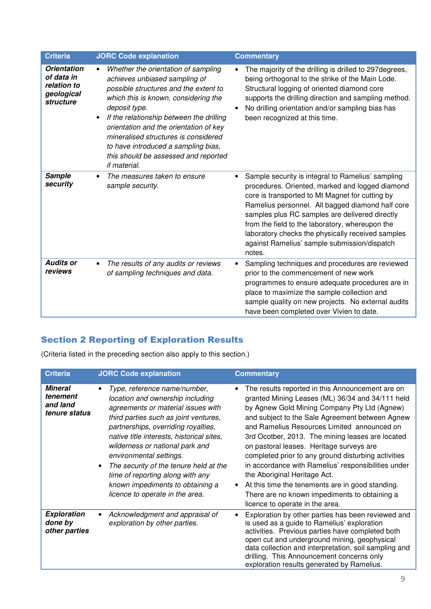| <b>Criteria</b>                                                            | <b>JORC Code explanation</b>                                                                                                                                                                                                                                                                                                                                                                                     | <b>Commentary</b>                                                                                                                                                                                                                                                                                                                                                                                                               |
|----------------------------------------------------------------------------|------------------------------------------------------------------------------------------------------------------------------------------------------------------------------------------------------------------------------------------------------------------------------------------------------------------------------------------------------------------------------------------------------------------|---------------------------------------------------------------------------------------------------------------------------------------------------------------------------------------------------------------------------------------------------------------------------------------------------------------------------------------------------------------------------------------------------------------------------------|
| <b>Orientation</b><br>of data in<br>relation to<br>geological<br>structure | Whether the orientation of sampling<br>achieves unbiased sampling of<br>possible structures and the extent to<br>which this is known, considering the<br>deposit type.<br>If the relationship between the drilling<br>$\bullet$<br>orientation and the orientation of key<br>mineralised structures is considered<br>to have introduced a sampling bias,<br>this should be assessed and reported<br>if material. | The majority of the drilling is drilled to 297 degrees,<br>being orthogonal to the strike of the Main Lode.<br>Structural logging of oriented diamond core<br>supports the drilling direction and sampling method.<br>No drilling orientation and/or sampling bias has<br>been recognized at this time.                                                                                                                         |
| <b>Sample</b><br>security                                                  | The measures taken to ensure<br>sample security.                                                                                                                                                                                                                                                                                                                                                                 | Sample security is integral to Ramelius' sampling<br>procedures. Oriented, marked and logged diamond<br>core is transported to Mt Magnet for cutting by<br>Ramelius personnel. All bagged diamond half core<br>samples plus RC samples are delivered directly<br>from the field to the laboratory, whereupon the<br>laboratory checks the physically received samples<br>against Ramelius' sample submission/dispatch<br>notes. |
| <b>Audits or</b><br>reviews                                                | The results of any audits or reviews<br>$\bullet$<br>of sampling techniques and data.                                                                                                                                                                                                                                                                                                                            | Sampling techniques and procedures are reviewed<br>prior to the commencement of new work<br>programmes to ensure adequate procedures are in<br>place to maximize the sample collection and<br>sample quality on new projects. No external audits<br>have been completed over Vivien to date.                                                                                                                                    |

# Section 2 Reporting of Exploration Results

(Criteria listed in the preceding section also apply to this section.)

| <b>Criteria</b>                                         | <b>JORC Code explanation</b>                                                                                                                                                                                                                                                                                                                                                                                                                           | <b>Commentary</b>                                                                                                                                                                                                                                                                                                                                                                                                                                                                                                                                                                                                                            |
|---------------------------------------------------------|--------------------------------------------------------------------------------------------------------------------------------------------------------------------------------------------------------------------------------------------------------------------------------------------------------------------------------------------------------------------------------------------------------------------------------------------------------|----------------------------------------------------------------------------------------------------------------------------------------------------------------------------------------------------------------------------------------------------------------------------------------------------------------------------------------------------------------------------------------------------------------------------------------------------------------------------------------------------------------------------------------------------------------------------------------------------------------------------------------------|
| <b>Mineral</b><br>tenement<br>and land<br>tenure status | Type, reference name/number,<br>location and ownership including<br>agreements or material issues with<br>third parties such as joint ventures,<br>partnerships, overriding royalties,<br>native title interests, historical sites,<br>wilderness or national park and<br>environmental settings.<br>The security of the tenure held at the<br>time of reporting along with any<br>known impediments to obtaining a<br>licence to operate in the area. | The results reported in this Announcement are on<br>granted Mining Leases (ML) 36/34 and 34/111 held<br>by Agnew Gold Mining Company Pty Ltd (Agnew)<br>and subject to the Sale Agreement between Agnew<br>and Ramelius Resources Limited announced on<br>3rd Ocotber, 2013. The mining leases are located<br>on pastoral leases. Heritage surveys are<br>completed prior to any ground disturbing activities<br>in accordance with Ramelius' responsibilities under<br>the Aboriginal Heritage Act.<br>At this time the tenements are in good standing.<br>There are no known impediments to obtaining a<br>licence to operate in the area. |
| <b>Exploration</b><br>done by<br>other parties          | Acknowledgment and appraisal of<br>exploration by other parties.                                                                                                                                                                                                                                                                                                                                                                                       | Exploration by other parties has been reviewed and<br>is used as a guide to Ramelius' exploration<br>activities. Previous parties have completed both<br>open cut and underground mining, geophysical<br>data collection and interpretation, soil sampling and<br>drilling. This Announcement concerns only<br>exploration results generated by Ramelius.                                                                                                                                                                                                                                                                                    |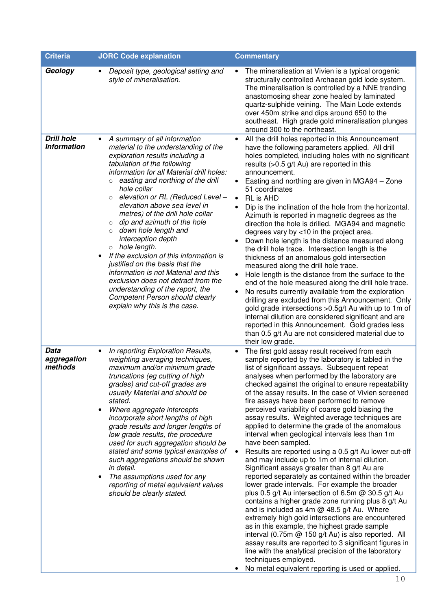| <b>Criteria</b>                         | <b>JORC Code explanation</b>                                                                                                                                                                                                                                                                                                                                                                                                                                                                                                                                                                                                                                                                                                                                              | <b>Commentary</b>                                                                                                                                                                                                                                                                                                                                                                                                                                                                                                                                                                                                                                                                                                                                                                                                                                                                                                                                                                                                                                                                                                                                                                                                                                                                                                                                                                                  |  |  |
|-----------------------------------------|---------------------------------------------------------------------------------------------------------------------------------------------------------------------------------------------------------------------------------------------------------------------------------------------------------------------------------------------------------------------------------------------------------------------------------------------------------------------------------------------------------------------------------------------------------------------------------------------------------------------------------------------------------------------------------------------------------------------------------------------------------------------------|----------------------------------------------------------------------------------------------------------------------------------------------------------------------------------------------------------------------------------------------------------------------------------------------------------------------------------------------------------------------------------------------------------------------------------------------------------------------------------------------------------------------------------------------------------------------------------------------------------------------------------------------------------------------------------------------------------------------------------------------------------------------------------------------------------------------------------------------------------------------------------------------------------------------------------------------------------------------------------------------------------------------------------------------------------------------------------------------------------------------------------------------------------------------------------------------------------------------------------------------------------------------------------------------------------------------------------------------------------------------------------------------------|--|--|
| Geology                                 | Deposit type, geological setting and<br>style of mineralisation.                                                                                                                                                                                                                                                                                                                                                                                                                                                                                                                                                                                                                                                                                                          | The mineralisation at Vivien is a typical orogenic<br>$\bullet$<br>structurally controlled Archaean gold lode system.<br>The mineralisation is controlled by a NNE trending<br>anastomosing shear zone healed by laminated<br>quartz-sulphide veining. The Main Lode extends<br>over 450m strike and dips around 650 to the<br>southeast. High grade gold mineralisation plunges<br>around 300 to the northeast.                                                                                                                                                                                                                                                                                                                                                                                                                                                                                                                                                                                                                                                                                                                                                                                                                                                                                                                                                                                   |  |  |
| <b>Drill hole</b><br><b>Information</b> | A summary of all information<br>material to the understanding of the<br>exploration results including a<br>tabulation of the following<br>information for all Material drill holes:<br>$\circ$ easting and northing of the drill<br>hole collar<br>elevation or RL (Reduced Level -<br>$\circ$<br>elevation above sea level in<br>metres) of the drill hole collar<br>dip and azimuth of the hole<br>$\circ$<br>down hole length and<br>$\circ$<br>interception depth<br>$\circ$ hole length.<br>If the exclusion of this information is<br>justified on the basis that the<br>information is not Material and this<br>exclusion does not detract from the<br>understanding of the report, the<br><b>Competent Person should clearly</b><br>explain why this is the case. | All the drill holes reported in this Announcement<br>$\bullet$<br>have the following parameters applied. All drill<br>holes completed, including holes with no significant<br>results $(>0.5$ g/t Au) are reported in this<br>announcement.<br>Easting and northing are given in MGA94 - Zone<br>51 coordinates<br>RL is AHD<br>$\bullet$<br>Dip is the inclination of the hole from the horizontal.<br>Azimuth is reported in magnetic degrees as the<br>direction the hole is drilled. MGA94 and magnetic<br>degrees vary by <10 in the project area.<br>Down hole length is the distance measured along<br>the drill hole trace. Intersection length is the<br>thickness of an anomalous gold intersection<br>measured along the drill hole trace.<br>Hole length is the distance from the surface to the<br>end of the hole measured along the drill hole trace.<br>No results currently available from the exploration<br>drilling are excluded from this Announcement. Only<br>gold grade intersections > 0.5g/t Au with up to 1m of<br>internal dilution are considered significant and are<br>reported in this Announcement. Gold grades less<br>than 0.5 g/t Au are not considered material due to<br>their low grade.                                                                                                                                                                    |  |  |
| Data<br>aggregation<br>methods          | In reporting Exploration Results,<br>weighting averaging techniques,<br>maximum and/or minimum grade<br>truncations (eg cutting of high<br>grades) and cut-off grades are<br>usually Material and should be<br>stated.<br>Where aggregate intercepts<br>$\bullet$<br>incorporate short lengths of high<br>grade results and longer lengths of<br>low grade results, the procedure<br>used for such aggregation should be<br>stated and some typical examples of<br>such aggregations should be shown<br>in detail.<br>The assumptions used for any<br>reporting of metal equivalent values<br>should be clearly stated.                                                                                                                                                   | The first gold assay result received from each<br>sample reported by the laboratory is tabled in the<br>list of significant assays. Subsequent repeat<br>analyses when performed by the laboratory are<br>checked against the original to ensure repeatability<br>of the assay results. In the case of Vivien screened<br>fire assays have been performed to remove<br>perceived variability of coarse gold biasing the<br>assay results. Weighted average techniques are<br>applied to determine the grade of the anomalous<br>interval when geological intervals less than 1m<br>have been sampled.<br>Results are reported using a 0.5 g/t Au lower cut-off<br>and may include up to 1m of internal dilution.<br>Significant assays greater than 8 g/t Au are<br>reported separately as contained within the broader<br>lower grade intervals. For example the broader<br>plus $0.5$ g/t Au intersection of 6.5m @ 30.5 g/t Au<br>contains a higher grade zone running plus 8 g/t Au<br>and is included as 4m $@$ 48.5 g/t Au. Where<br>extremely high gold intersections are encountered<br>as in this example, the highest grade sample<br>interval (0.75m @ 150 g/t Au) is also reported. All<br>assay results are reported to 3 significant figures in<br>line with the analytical precision of the laboratory<br>techniques employed.<br>No metal equivalent reporting is used or applied. |  |  |